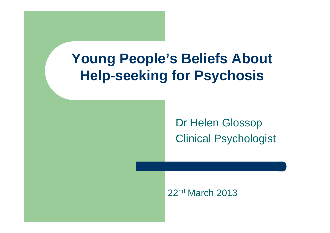# **Young People's Beliefs About Help-seeking for Psychosis**

Dr Helen GlossopClinical Psychologist

22<sup>nd</sup> March 2013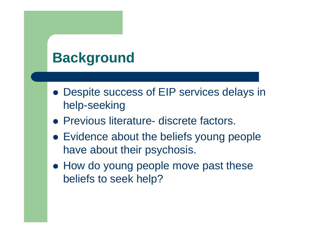# **Background**

- Despite success of EIP services delays in help-seeking
- Previous literature- discrete factors.
- Evidence about the beliefs young people have about their psychosis.
- How do young people move past these beliefs to seek help?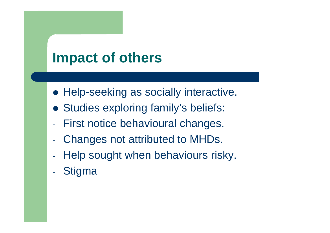# **Impact of others**

- **Help-seeking as socially interactive.**
- Studies exploring family's beliefs:
- First notice behavioural changes.
- $\mathcal{L}_{\mathcal{A}}$ Changes not attributed to MHDs.
- $\mathcal{L}_{\mathcal{A}}$ Help sought when behaviours risky.
- $\mathcal{L}_{\mathcal{A}}$ **Stigma**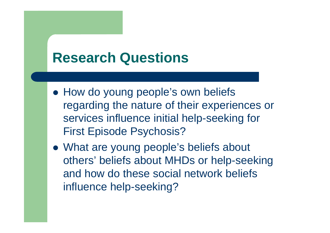## **Research Questions**

- How do young people's own beliefs regarding the nature of their experiences or services influence initial help-seeking for First Episode Psychosis?
- What are young people's beliefs about others' beliefs about MHDs or help-seeking and how do these social network beliefs influence help-seeking?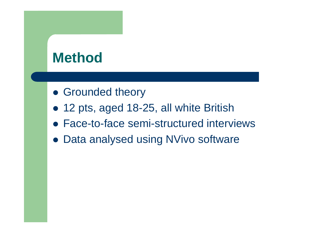## **Method**

- **Grounded theory**
- 12 pts, aged 18-25, all white British
- Face-to-face semi-structured interviews
- Data analysed using NVivo software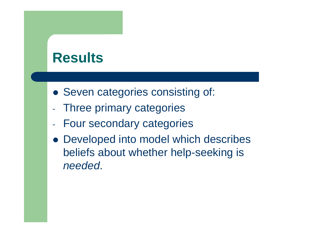### **Results**

- Seven categories consisting of:
- -Three primary categories
- Four secondary categories
- Developed into model which describes beliefs about whether help-seeking is needed.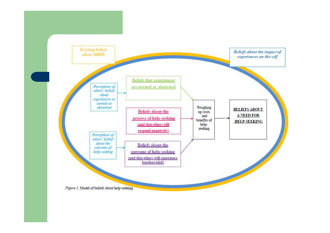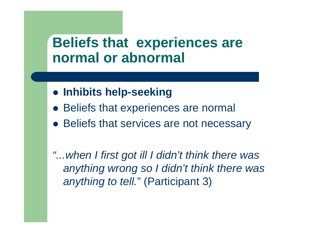## **Beliefs that experiences are normal or abnormal**

- **Inhibits help-seeking**
- Beliefs that experiences are normal
- Beliefs that services are not necessary

"... when I first got ill I didn't think there was anything wrong so I didn't think there was anything to tell." (Participant 3)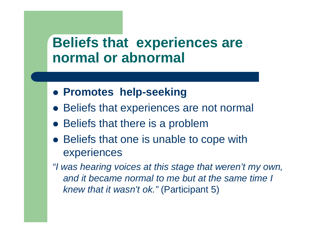## **Beliefs that experiences are normal or abnormal**

- **Promotes help-seeking**
- Beliefs that experiences are not normal
- Beliefs that there is a problem
- Beliefs that one is unable to cope with experiences
- "I was hearing voices at this stage that weren't my own, and it became normal to me but at the same time I knew that it wasn't ok." (Participant 5)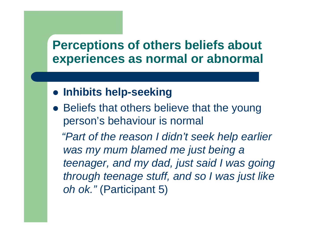### **Perceptions of others beliefs about experiences as normal or abnormal**

- **Inhibits help-seeking**
- Beliefs that others believe that the young person's behaviour is normal"Part of the reason I didn't seek help earlier was my mum blamed me just being a teenager, and my dad, just said I was going through teenage stuff, and so I was just like *oh ok."* (Participant 5)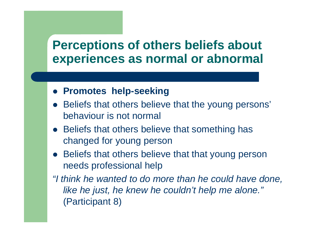### **Perceptions of others beliefs about experiences as normal or abnormal**

- **Promotes help-seeking**
- Beliefs that others believe that the young persons' behaviour is not normal
- Beliefs that others believe that something has changed for young person
- Beliefs that others believe that that young person needs professional help
- "I think he wanted to do more than he could have done,like he just, he knew he couldn't help me alone."(Participant 8)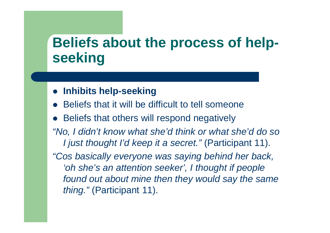#### **Beliefs about the process of helpseeking**

### **Inhibits help-seeking**

- $\bullet$ Beliefs that it will be difficult to tell someone
- Beliefs that others will respond negatively
- "No, I didn't know what she'd think or what she'd do so I just thought I'd keep it a secret." (Participant 11).

"Cos basically everyone was saying behind her back, 'oh she's an attention seeker', I thought if people found out about mine then they would say the same thing." (Participant 11).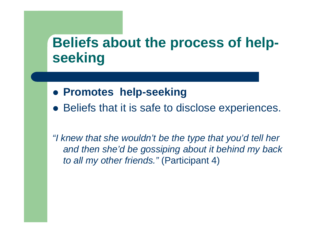#### **Beliefs about the process of helpseeking**

- **Promotes help-seeking**
- Beliefs that it is safe to disclose experiences.

"I knew that she wouldn't be the type that you'd tell her and then she'd be gossiping about it behind my back to all my other friends." (Participant 4)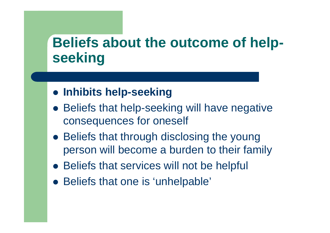#### **Beliefs about the outcome of helpseeking**

- **Inhibits help-seeking**
- Beliefs that help-seeking will have negative consequences for oneself
- Beliefs that through disclosing the young person will become a burden to their family
- Beliefs that services will not be helpful
- Beliefs that one is 'unhelpable'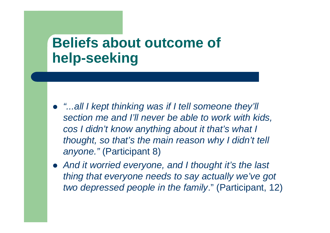## **Beliefs about outcome of help-seeking**

- "...all I kept thinking was if I tell someone they'll section me and I'll never be able to work with kids, cos I didn't know anything about it that's what I thought, so that's the main reason why I didn't tell anyone." (Participant 8)
- And it worried everyone, and I thought it's the last thing that everyone needs to say actually we've got two depressed people in the family." (Participant, 12)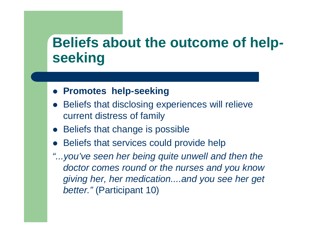#### **Beliefs about the outcome of helpseeking**

### **Promotes help-seeking**

- $\bullet$  Beliefs that disclosing experiences will relieve current distress of family
- Beliefs that change is possible
- $\bullet$ Beliefs that services could provide help
- "...you've seen her being quite unwell and then the doctor comes round or the nurses and you know giving her, her medication....and you see her get better." (Participant 10)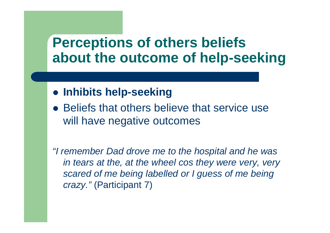## **Perceptions of others beliefs about the outcome of help-seeking**

- **Inhibits help-seeking**
- Beliefs that others believe that service use will have negative outcomes

"I remember Dad drove me to the hospital and he was in tears at the, at the wheel cos they were very, very scared of me being labelled or I guess of me being crazy." (Participant 7)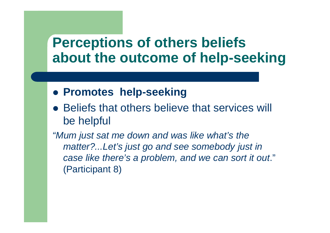## **Perceptions of others beliefs about the outcome of help-seeking**

- **Promotes help-seeking**
- Beliefs that others believe that services will be helpful

"Mum just sat me down and was like what's the matter?...Let's just go and see somebody just in case like there's a problem, and we can sort it out." (Participant 8)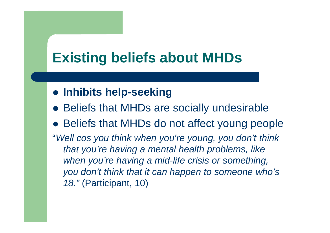# **Existing beliefs about MHDs**

- **Inhibits help-seeking**
- Beliefs that MHDs are socially undesirable
- Beliefs that MHDs do not affect young people
- "Well cos you think when you're young, you don't think that you're having a mental health problems, like when you're having a mid-life crisis or something, you don't think that it can happen to someone who's 18." (Participant, 10)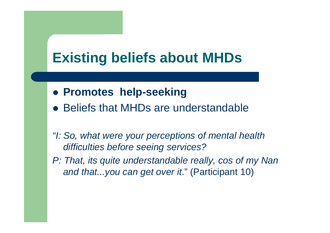# **Existing beliefs about MHDs**

- **Promotes help-seeking**
- Beliefs that MHDs are understandable
- "I: So, what were your perceptions of mental health difficulties before seeing services?
- P: That, its quite understandable really, cos of my Nan and that...you can get over it." (Participant 10)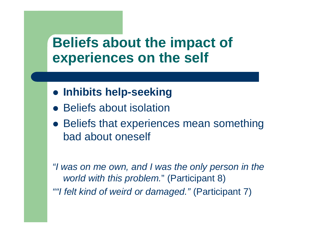## **Beliefs about the impact of experiences on the self**

- **Inhibits help-seeking**
- Beliefs about isolation
- Beliefs that experiences mean something bad about oneself

"I was on me own, and I was the only person in the world with this problem." (Participant 8)""I felt kind of weird or damaged." (Participant 7)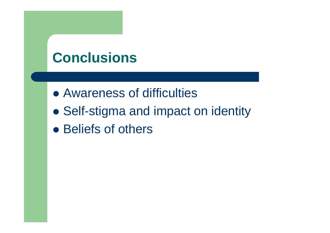## **Conclusions**

- Awareness of difficulties
- $\bullet$ Self-stigma and impact on identity
- Beliefs of others